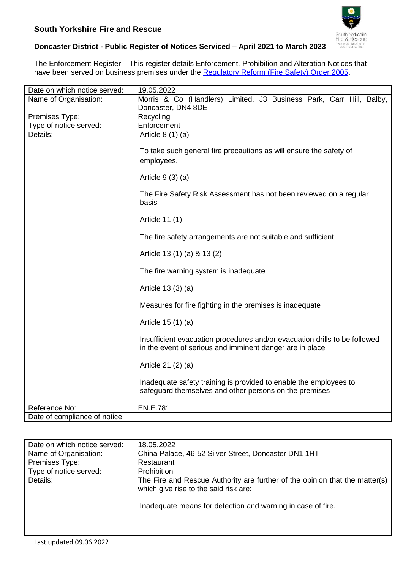

## **Doncaster District - Public Register of Notices Serviced – April 2021 to March 2023**

The Enforcement Register – This register details Enforcement, Prohibition and Alteration Notices that have been served on business premises under the [Regulatory Reform \(Fire Safety\) Order 2005.](http://www.legislation.gov.uk/uksi/2005/1541/contents/made)

| Date on which notice served:  | 19.05.2022                                                                                                                                                                                                                                                                                                                                                                                                                                                                                                                                                |
|-------------------------------|-----------------------------------------------------------------------------------------------------------------------------------------------------------------------------------------------------------------------------------------------------------------------------------------------------------------------------------------------------------------------------------------------------------------------------------------------------------------------------------------------------------------------------------------------------------|
| Name of Organisation:         | Morris & Co (Handlers) Limited, J3 Business Park, Carr Hill, Balby,<br>Doncaster, DN4 8DE                                                                                                                                                                                                                                                                                                                                                                                                                                                                 |
| Premises Type:                | Recycling                                                                                                                                                                                                                                                                                                                                                                                                                                                                                                                                                 |
| Type of notice served:        | Enforcement                                                                                                                                                                                                                                                                                                                                                                                                                                                                                                                                               |
| Details:                      | Article $8(1)(a)$<br>To take such general fire precautions as will ensure the safety of<br>employees.<br>Article $9(3)(a)$<br>The Fire Safety Risk Assessment has not been reviewed on a regular<br>basis<br>Article 11 (1)<br>The fire safety arrangements are not suitable and sufficient<br>Article 13 (1) (a) & 13 (2)<br>The fire warning system is inadequate<br>Article 13 (3) (a)<br>Measures for fire fighting in the premises is inadequate<br>Article 15 (1) (a)<br>Insufficient evacuation procedures and/or evacuation drills to be followed |
|                               | in the event of serious and imminent danger are in place                                                                                                                                                                                                                                                                                                                                                                                                                                                                                                  |
|                               | Article 21 (2) (a)                                                                                                                                                                                                                                                                                                                                                                                                                                                                                                                                        |
|                               | Inadequate safety training is provided to enable the employees to<br>safeguard themselves and other persons on the premises                                                                                                                                                                                                                                                                                                                                                                                                                               |
| Reference No:                 | <b>EN.E.781</b>                                                                                                                                                                                                                                                                                                                                                                                                                                                                                                                                           |
| Date of compliance of notice: |                                                                                                                                                                                                                                                                                                                                                                                                                                                                                                                                                           |

| Date on which notice served: | 18.05.2022                                                                                                                                                                          |
|------------------------------|-------------------------------------------------------------------------------------------------------------------------------------------------------------------------------------|
| Name of Organisation:        | China Palace, 46-52 Silver Street, Doncaster DN1 1HT                                                                                                                                |
| Premises Type:               | Restaurant                                                                                                                                                                          |
| Type of notice served:       | <b>Prohibition</b>                                                                                                                                                                  |
| Details:                     | The Fire and Rescue Authority are further of the opinion that the matter(s)<br>which give rise to the said risk are:<br>Inadequate means for detection and warning in case of fire. |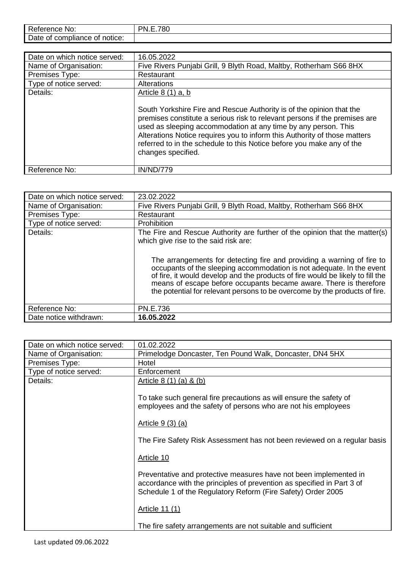| $\overline{\phantom{0}}$<br>$\ddot{\,}$<br>No:<br>Reference<br>- | $\overline{\phantom{a}}$<br>-<br>_ו∧<br>N.⊏.7 OU |
|------------------------------------------------------------------|--------------------------------------------------|
| -<br>⊃ate<br>compliance<br>notice:<br>ot.<br>0t                  |                                                  |

| Date on which notice served: | 16.05.2022                                                                                                                                                                                                                                                                                                                                                                                                              |
|------------------------------|-------------------------------------------------------------------------------------------------------------------------------------------------------------------------------------------------------------------------------------------------------------------------------------------------------------------------------------------------------------------------------------------------------------------------|
| Name of Organisation:        | Five Rivers Punjabi Grill, 9 Blyth Road, Maltby, Rotherham S66 8HX                                                                                                                                                                                                                                                                                                                                                      |
| Premises Type:               | Restaurant                                                                                                                                                                                                                                                                                                                                                                                                              |
| Type of notice served:       | <b>Alterations</b>                                                                                                                                                                                                                                                                                                                                                                                                      |
| Details:                     | Article $8(1)$ a, b<br>South Yorkshire Fire and Rescue Authority is of the opinion that the<br>premises constitute a serious risk to relevant persons if the premises are<br>used as sleeping accommodation at any time by any person. This<br>Alterations Notice requires you to inform this Authority of those matters<br>referred to in the schedule to this Notice before you make any of the<br>changes specified. |
| Reference No:                | <b>IN/ND/779</b>                                                                                                                                                                                                                                                                                                                                                                                                        |

| Date on which notice served: | 23.02.2022                                                                                                                                                                                                                                                                                                                                                                                                                                                                                                   |
|------------------------------|--------------------------------------------------------------------------------------------------------------------------------------------------------------------------------------------------------------------------------------------------------------------------------------------------------------------------------------------------------------------------------------------------------------------------------------------------------------------------------------------------------------|
| Name of Organisation:        | Five Rivers Punjabi Grill, 9 Blyth Road, Maltby, Rotherham S66 8HX                                                                                                                                                                                                                                                                                                                                                                                                                                           |
| Premises Type:               | Restaurant                                                                                                                                                                                                                                                                                                                                                                                                                                                                                                   |
| Type of notice served:       | <b>Prohibition</b>                                                                                                                                                                                                                                                                                                                                                                                                                                                                                           |
| Details:                     | The Fire and Rescue Authority are further of the opinion that the matter(s)<br>which give rise to the said risk are:<br>The arrangements for detecting fire and providing a warning of fire to<br>occupants of the sleeping accommodation is not adequate. In the event<br>of fire, it would develop and the products of fire would be likely to fill the<br>means of escape before occupants became aware. There is therefore<br>the potential for relevant persons to be overcome by the products of fire. |
| Reference No:                | <b>PN.E.736</b>                                                                                                                                                                                                                                                                                                                                                                                                                                                                                              |
| Date notice withdrawn:       | 16.05.2022                                                                                                                                                                                                                                                                                                                                                                                                                                                                                                   |

| Date on which notice served: | 01.02.2022                                                                                                                                                                                                  |
|------------------------------|-------------------------------------------------------------------------------------------------------------------------------------------------------------------------------------------------------------|
| Name of Organisation:        | Primelodge Doncaster, Ten Pound Walk, Doncaster, DN4 5HX                                                                                                                                                    |
| Premises Type:               | Hotel                                                                                                                                                                                                       |
| Type of notice served:       | Enforcement                                                                                                                                                                                                 |
| Details:                     | Article $8(1)(a) 8(b)$                                                                                                                                                                                      |
|                              | To take such general fire precautions as will ensure the safety of<br>employees and the safety of persons who are not his employees                                                                         |
|                              | <u>Article 9 (3) (a)</u>                                                                                                                                                                                    |
|                              | The Fire Safety Risk Assessment has not been reviewed on a regular basis                                                                                                                                    |
|                              | Article 10                                                                                                                                                                                                  |
|                              | Preventative and protective measures have not been implemented in<br>accordance with the principles of prevention as specified in Part 3 of<br>Schedule 1 of the Regulatory Reform (Fire Safety) Order 2005 |
|                              | Article 11 (1)                                                                                                                                                                                              |
|                              | The fire safety arrangements are not suitable and sufficient                                                                                                                                                |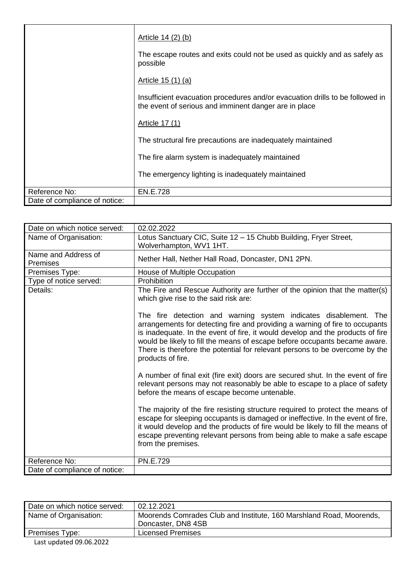|                               | Article 14 (2) (b)                                                                                                                     |
|-------------------------------|----------------------------------------------------------------------------------------------------------------------------------------|
|                               | The escape routes and exits could not be used as quickly and as safely as<br>possible                                                  |
|                               | Article 15 (1) (a)                                                                                                                     |
|                               | Insufficient evacuation procedures and/or evacuation drills to be followed in<br>the event of serious and imminent danger are in place |
|                               | Article 17 (1)                                                                                                                         |
|                               | The structural fire precautions are inadequately maintained                                                                            |
|                               | The fire alarm system is inadequately maintained                                                                                       |
|                               | The emergency lighting is inadequately maintained                                                                                      |
| Reference No:                 | <b>EN.E.728</b>                                                                                                                        |
| Date of compliance of notice: |                                                                                                                                        |

| Date on which notice served:           | 02.02.2022                                                                                                                                                                                                                                                                                                                                                                                                           |
|----------------------------------------|----------------------------------------------------------------------------------------------------------------------------------------------------------------------------------------------------------------------------------------------------------------------------------------------------------------------------------------------------------------------------------------------------------------------|
| Name of Organisation:                  | Lotus Sanctuary CIC, Suite 12 - 15 Chubb Building, Fryer Street,                                                                                                                                                                                                                                                                                                                                                     |
|                                        | Wolverhampton, WV1 1HT.                                                                                                                                                                                                                                                                                                                                                                                              |
| Name and Address of<br><b>Premises</b> | Nether Hall, Nether Hall Road, Doncaster, DN1 2PN.                                                                                                                                                                                                                                                                                                                                                                   |
| Premises Type:                         | House of Multiple Occupation                                                                                                                                                                                                                                                                                                                                                                                         |
| Type of notice served:                 | Prohibition                                                                                                                                                                                                                                                                                                                                                                                                          |
| Details:                               | The Fire and Rescue Authority are further of the opinion that the matter(s)<br>which give rise to the said risk are:                                                                                                                                                                                                                                                                                                 |
|                                        | The fire detection and warning system indicates disablement. The<br>arrangements for detecting fire and providing a warning of fire to occupants<br>is inadequate. In the event of fire, it would develop and the products of fire<br>would be likely to fill the means of escape before occupants became aware.<br>There is therefore the potential for relevant persons to be overcome by the<br>products of fire. |
|                                        | A number of final exit (fire exit) doors are secured shut. In the event of fire<br>relevant persons may not reasonably be able to escape to a place of safety<br>before the means of escape become untenable.                                                                                                                                                                                                        |
|                                        | The majority of the fire resisting structure required to protect the means of<br>escape for sleeping occupants is damaged or ineffective. In the event of fire,<br>it would develop and the products of fire would be likely to fill the means of<br>escape preventing relevant persons from being able to make a safe escape<br>from the premises.                                                                  |
| Reference No:                          | <b>PN.E.729</b>                                                                                                                                                                                                                                                                                                                                                                                                      |
| Date of compliance of notice:          |                                                                                                                                                                                                                                                                                                                                                                                                                      |

| Date on which notice served: | 02.12.2021                                                                                |
|------------------------------|-------------------------------------------------------------------------------------------|
| Name of Organisation:        | Moorends Comrades Club and Institute, 160 Marshland Road, Moorends,<br>Doncaster, DN8 4SB |
|                              |                                                                                           |
| Premises Type:               | <b>Licensed Premises</b>                                                                  |
|                              |                                                                                           |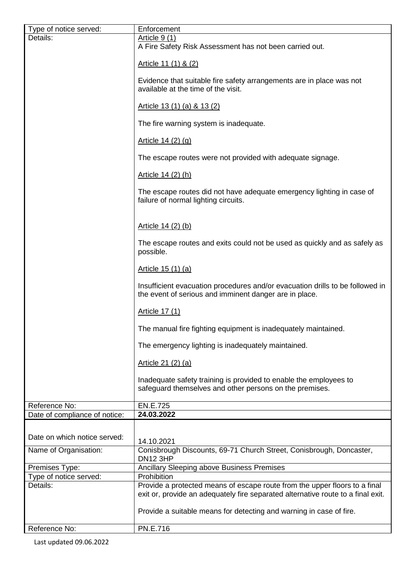| Type of notice served:        | Enforcement                                                                                                                                                    |
|-------------------------------|----------------------------------------------------------------------------------------------------------------------------------------------------------------|
| Details:                      | Article 9 (1)                                                                                                                                                  |
|                               | A Fire Safety Risk Assessment has not been carried out.                                                                                                        |
|                               |                                                                                                                                                                |
|                               | Article 11 (1) & (2)                                                                                                                                           |
|                               | Evidence that suitable fire safety arrangements are in place was not                                                                                           |
|                               | available at the time of the visit.                                                                                                                            |
|                               | Article 13 (1) (a) & 13 (2)                                                                                                                                    |
|                               | The fire warning system is inadequate.                                                                                                                         |
|                               | Article 14 (2) (g)                                                                                                                                             |
|                               | The escape routes were not provided with adequate signage.                                                                                                     |
|                               | Article 14 (2) (h)                                                                                                                                             |
|                               | The escape routes did not have adequate emergency lighting in case of<br>failure of normal lighting circuits.                                                  |
|                               | Article 14 (2) (b)                                                                                                                                             |
|                               | The escape routes and exits could not be used as quickly and as safely as<br>possible.                                                                         |
|                               | <u>Article 15 (1) (a)</u>                                                                                                                                      |
|                               | Insufficient evacuation procedures and/or evacuation drills to be followed in<br>the event of serious and imminent danger are in place.                        |
|                               | Article 17 (1)                                                                                                                                                 |
|                               | The manual fire fighting equipment is inadequately maintained.                                                                                                 |
|                               | The emergency lighting is inadequately maintained.                                                                                                             |
|                               | Article 21 (2) (a)                                                                                                                                             |
|                               | Inadequate safety training is provided to enable the employees to<br>safeguard themselves and other persons on the premises.                                   |
| Reference No:                 | <b>EN.E.725</b>                                                                                                                                                |
| Date of compliance of notice: | 24.03.2022                                                                                                                                                     |
|                               |                                                                                                                                                                |
| Date on which notice served:  |                                                                                                                                                                |
| Name of Organisation:         | 14.10.2021<br>Conisbrough Discounts, 69-71 Church Street, Conisbrough, Doncaster,                                                                              |
|                               | <b>DN12 3HP</b>                                                                                                                                                |
| Premises Type:                | Ancillary Sleeping above Business Premises                                                                                                                     |
| Type of notice served:        | Prohibition                                                                                                                                                    |
| Details:                      | Provide a protected means of escape route from the upper floors to a final<br>exit or, provide an adequately fire separated alternative route to a final exit. |
|                               | Provide a suitable means for detecting and warning in case of fire.                                                                                            |
| Reference No:                 | PN.E.716                                                                                                                                                       |